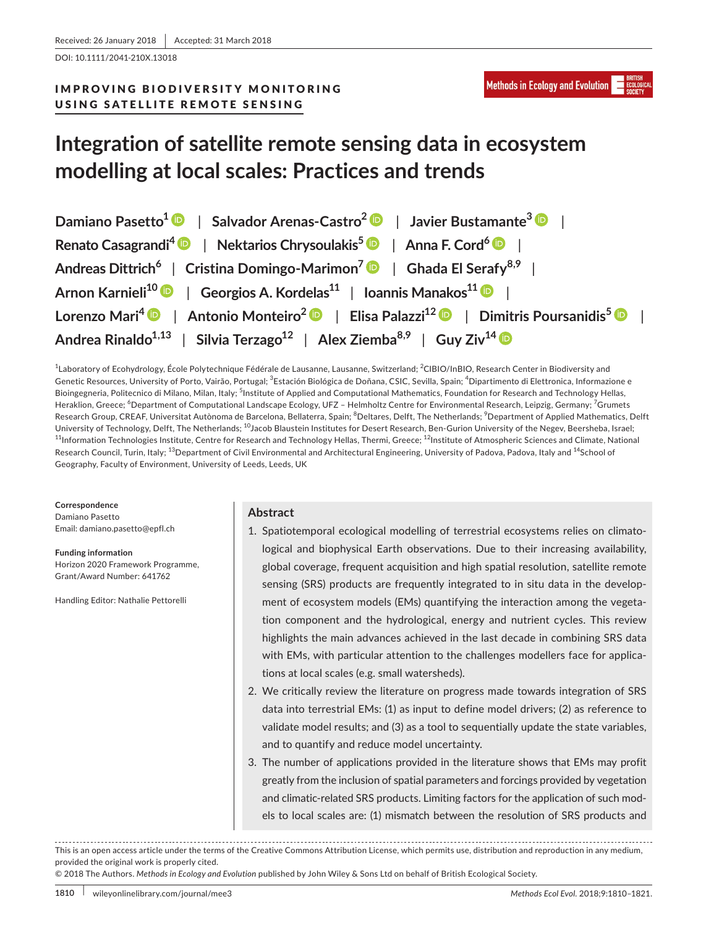DOI: 10.1111/2041-210X.13018

# IMPROVING BIODIVERSITY MONITORING USING SATELLITE REMOTE SENSING

# **Integration of satellite remote sensing data in ecosystem modelling at local scales: Practices and trends**

| Damiano Pasetto <sup>1</sup> $\bullet$   Salvador Arenas-Castro <sup>2</sup> $\bullet$   Javier Bustamante <sup>3</sup> $\bullet$   |
|-------------------------------------------------------------------------------------------------------------------------------------|
| Renato Casagrandi <sup>4</sup> $\bullet$   Nektarios Chrysoulakis <sup>5</sup> $\bullet$   Anna F. Cord <sup>6</sup> $\bullet$      |
| Andreas Dittrich <sup>6</sup>   Cristina Domingo-Marimon <sup>7</sup>   Ghada El Serafy <sup>8,9</sup>                              |
| Arnon Karnieli <sup>10</sup> D   Georgios A. Kordelas <sup>11</sup>   Ioannis Manakos <sup>11</sup> D                               |
| Lorenzo Mari <sup>4</sup> D   Antonio Monteiro <sup>2</sup> D   Elisa Palazzi <sup>12</sup> D   Dimitris Poursanidis <sup>5</sup> D |
| Andrea Rinaldo <sup>1,13</sup>   Silvia Terzago <sup>12</sup>   Alex Ziemba <sup>8,9</sup>   Guy Ziv <sup>14</sup> D                |

<sup>1</sup>Laboratory of Ecohydrology, École Polytechnique Fédérale de Lausanne, Lausanne, Switzerland; <sup>2</sup>CIBIO/InBIO, Research Center in Biodiversity and Genetic Resources, University of Porto, Vairão, Portugal; <sup>3</sup>Estación Biológica de Doñana, CSIC, Sevilla, Spain; <sup>4</sup>Dipartimento di Elettronica, Informazione e Bioingegneria, Politecnico di Milano, Milan, Italy; <sup>5</sup>Institute of Applied and Computational Mathematics, Foundation for Research and Technology Hellas, Heraklion, Greece; <sup>6</sup>Department of Computational Landscape Ecology, UFZ – Helmholtz Centre for Environmental Research, Leipzig, Germany; <sup>7</sup>Grumets Research Group, CREAF, Universitat Autònoma de Barcelona, Bellaterra, Spain; <sup>8</sup>Deltares, Delft, The Netherlands; <sup>9</sup>Department of Applied Mathematics, Delft University of Technology, Delft, The Netherlands; <sup>10</sup>Jacob Blaustein Institutes for Desert Research, Ben-Gurion University of the Negev, Beersheba, Israel;  $^{11}$ Information Technologies Institute, Centre for Research and Technology Hellas, Thermi, Greece;  $^{12}$ Institute of Atmospheric Sciences and Climate, National Research Council, Turin, Italy; <sup>13</sup>Department of Civil Environmental and Architectural Engineering, University of Padova, Padova, Italy and <sup>14</sup>School of Geography, Faculty of Environment, University of Leeds, Leeds, UK

**Correspondence** Damiano Pasetto Email: [damiano.pasetto@epfl.ch](mailto:damiano.pasetto@epfl.ch)

**Funding information** Horizon 2020 Framework Programme, Grant/Award Number: 641762

Handling Editor: Nathalie Pettorelli

# **Abstract**

- 1. Spatiotemporal ecological modelling of terrestrial ecosystems relies on climatological and biophysical Earth observations. Due to their increasing availability, global coverage, frequent acquisition and high spatial resolution, satellite remote sensing (SRS) products are frequently integrated to in situ data in the development of ecosystem models (EMs) quantifying the interaction among the vegetation component and the hydrological, energy and nutrient cycles. This review highlights the main advances achieved in the last decade in combining SRS data with EMs, with particular attention to the challenges modellers face for applications at local scales (e.g. small watersheds).
- 2. We critically review the literature on progress made towards integration of SRS data into terrestrial EMs: (1) as input to define model drivers; (2) as reference to validate model results; and (3) as a tool to sequentially update the state variables, and to quantify and reduce model uncertainty.
- 3. The number of applications provided in the literature shows that EMs may profit greatly from the inclusion of spatial parameters and forcings provided by vegetation and climatic-related SRS products. Limiting factors for the application of such models to local scales are: (1) mismatch between the resolution of SRS products and

© 2018 The Authors. *Methods in Ecology and Evolution* published by John Wiley & Sons Ltd on behalf of British Ecological Society.

This is an open access article under the terms of the [Creative Commons Attribution](http://creativecommons.org/licenses/by/4.0/) License, which permits use, distribution and reproduction in any medium, provided the original work is properly cited.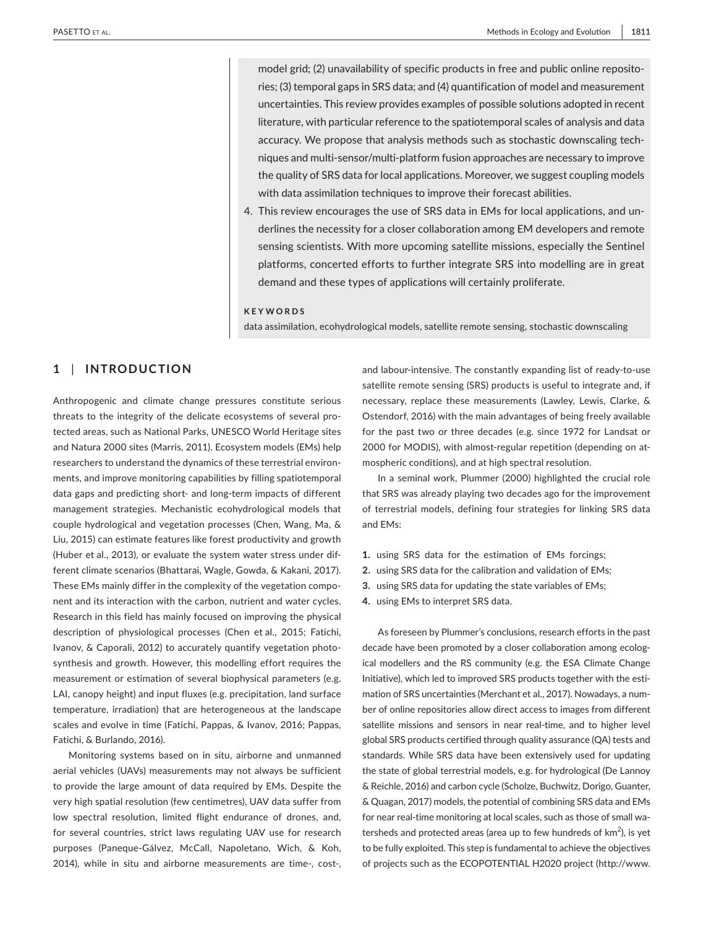model grid; (2) unavailability of specific products in free and public online repositories; (3) temporal gaps in SRS data; and (4) quantification of model and measurement uncertainties. This review provides examples of possible solutions adopted in recent literature, with particular reference to the spatiotemporal scales of analysis and data accuracy. We propose that analysis methods such as stochastic downscaling techniques and multi-sensor/multi-platform fusion approaches are necessary to improve the quality of SRS data for local applications. Moreover, we suggest coupling models with data assimilation techniques to improve their forecast abilities.

4. This review encourages the use of SRS data in EMs for local applications, and underlines the necessity for a closer collaboration among EM developers and remote sensing scientists. With more upcoming satellite missions, especially the Sentinel platforms, concerted efforts to further integrate SRS into modelling are in great demand and these types of applications will certainly proliferate.

#### **KEYWORDS**

data assimilation, ecohydrological models, satellite remote sensing, stochastic downscaling

# **1** | **INTRODUCTION**

Anthropogenic and climate change pressures constitute serious threats to the integrity of the delicate ecosystems of several protected areas, such as National Parks, UNESCO World Heritage sites and Natura 2000 sites (Marris, 2011). Ecosystem models (EMs) help researchers to understand the dynamics of these terrestrial environments, and improve monitoring capabilities by filling spatiotemporal data gaps and predicting short- and long-term impacts of different management strategies. Mechanistic ecohydrological models that couple hydrological and vegetation processes (Chen, Wang, Ma, & Liu, 2015) can estimate features like forest productivity and growth (Huber et al., 2013), or evaluate the system water stress under different climate scenarios (Bhattarai, Wagle, Gowda, & Kakani, 2017). These EMs mainly differ in the complexity of the vegetation component and its interaction with the carbon, nutrient and water cycles. Research in this field has mainly focused on improving the physical description of physiological processes (Chen et al., 2015; Fatichi, Ivanov, & Caporali, 2012) to accurately quantify vegetation photosynthesis and growth. However, this modelling effort requires the measurement or estimation of several biophysical parameters (e.g. LAI, canopy height) and input fluxes (e.g. precipitation, land surface temperature, irradiation) that are heterogeneous at the landscape scales and evolve in time (Fatichi, Pappas, & Ivanov, 2016; Pappas, Fatichi, & Burlando, 2016).

Monitoring systems based on in situ, airborne and unmanned aerial vehicles (UAVs) measurements may not always be sufficient to provide the large amount of data required by EMs. Despite the very high spatial resolution (few centimetres), UAV data suffer from low spectral resolution, limited flight endurance of drones, and, for several countries, strict laws regulating UAV use for research purposes (Paneque-Gálvez, McCall, Napoletano, Wich, & Koh, 2014), while in situ and airborne measurements are time-, cost-,

and labour-intensive. The constantly expanding list of ready-to-use satellite remote sensing (SRS) products is useful to integrate and, if necessary, replace these measurements (Lawley, Lewis, Clarke, & Ostendorf, 2016) with the main advantages of being freely available for the past two or three decades (e.g. since 1972 for Landsat or 2000 for MODIS), with almost-regular repetition (depending on atmospheric conditions), and at high spectral resolution.

In a seminal work, Plummer (2000) highlighted the crucial role that SRS was already playing two decades ago for the improvement of terrestrial models, defining four strategies for linking SRS data and EMs:

- **1.** using SRS data for the estimation of EMs forcings;
- **2.** using SRS data for the calibration and validation of EMs;
- **3.** using SRS data for updating the state variables of EMs;
- **4.** using EMs to interpret SRS data.

As foreseen by Plummer's conclusions, research efforts in the past decade have been promoted by a closer collaboration among ecological modellers and the RS community (e.g. the ESA Climate Change Initiative), which led to improved SRS products together with the estimation of SRS uncertainties (Merchant et al., 2017). Nowadays, a number of online repositories allow direct access to images from different satellite missions and sensors in near real-time, and to higher level global SRS products certified through quality assurance (QA) tests and standards. While SRS data have been extensively used for updating the state of global terrestrial models, e.g. for hydrological (De Lannoy & Reichle, 2016) and carbon cycle (Scholze, Buchwitz, Dorigo, Guanter, & Quagan, 2017) models, the potential of combining SRS data and EMs for near real-time monitoring at local scales, such as those of small watersheds and protected areas (area up to few hundreds of  $km<sup>2</sup>$ ), is yet to be fully exploited. This step is fundamental to achieve the objectives of projects such as the ECOPOTENTIAL H2020 project [\(http://www.](http://www.ecopotential-project.eu)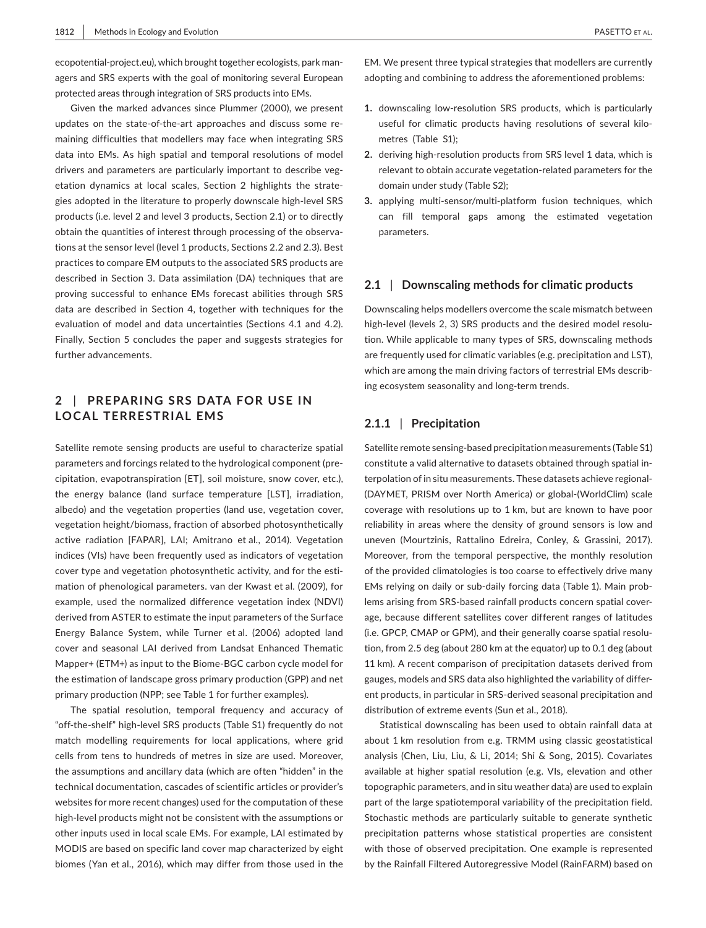[ecopotential-project.eu](http://www.ecopotential-project.eu)), which brought together ecologists, park managers and SRS experts with the goal of monitoring several European protected areas through integration of SRS products into EMs.

Given the marked advances since Plummer (2000), we present updates on the state-of-the-art approaches and discuss some remaining difficulties that modellers may face when integrating SRS data into EMs. As high spatial and temporal resolutions of model drivers and parameters are particularly important to describe vegetation dynamics at local scales, Section 2 highlights the strategies adopted in the literature to properly downscale high-level SRS products (i.e. level 2 and level 3 products, Section 2.1) or to directly obtain the quantities of interest through processing of the observations at the sensor level (level 1 products, Sections 2.2 and 2.3). Best practices to compare EM outputs to the associated SRS products are described in Section 3. Data assimilation (DA) techniques that are proving successful to enhance EMs forecast abilities through SRS data are described in Section 4, together with techniques for the evaluation of model and data uncertainties (Sections 4.1 and 4.2). Finally, Section 5 concludes the paper and suggests strategies for further advancements.

# **2** | **PREPARING SRS DATA FOR USE IN LOCAL TERRESTRIAL EMS**

Satellite remote sensing products are useful to characterize spatial parameters and forcings related to the hydrological component (precipitation, evapotranspiration [ET], soil moisture, snow cover, etc.), the energy balance (land surface temperature [LST], irradiation, albedo) and the vegetation properties (land use, vegetation cover, vegetation height/biomass, fraction of absorbed photosynthetically active radiation [FAPAR], LAI; Amitrano et al., 2014). Vegetation indices (VIs) have been frequently used as indicators of vegetation cover type and vegetation photosynthetic activity, and for the estimation of phenological parameters. van der Kwast et al. (2009), for example, used the normalized difference vegetation index (NDVI) derived from ASTER to estimate the input parameters of the Surface Energy Balance System, while Turner et al. (2006) adopted land cover and seasonal LAI derived from Landsat Enhanced Thematic Mapper+ (ETM+) as input to the Biome-BGC carbon cycle model for the estimation of landscape gross primary production (GPP) and net primary production (NPP; see Table 1 for further examples).

The spatial resolution, temporal frequency and accuracy of "off-the-shelf" high-level SRS products (Table S1) frequently do not match modelling requirements for local applications, where grid cells from tens to hundreds of metres in size are used. Moreover, the assumptions and ancillary data (which are often "hidden" in the technical documentation, cascades of scientific articles or provider's websites for more recent changes) used for the computation of these high-level products might not be consistent with the assumptions or other inputs used in local scale EMs. For example, LAI estimated by MODIS are based on specific land cover map characterized by eight biomes (Yan et al., 2016), which may differ from those used in the

EM. We present three typical strategies that modellers are currently adopting and combining to address the aforementioned problems:

- **1.** downscaling low-resolution SRS products, which is particularly useful for climatic products having resolutions of several kilometres (Table S1);
- **2.** deriving high-resolution products from SRS level 1 data, which is relevant to obtain accurate vegetation-related parameters for the domain under study (Table S2);
- **3.** applying multi-sensor/multi-platform fusion techniques, which can fill temporal gaps among the estimated vegetation parameters.

## **2.1** | **Downscaling methods for climatic products**

Downscaling helps modellers overcome the scale mismatch between high-level (levels 2, 3) SRS products and the desired model resolution. While applicable to many types of SRS, downscaling methods are frequently used for climatic variables (e.g. precipitation and LST), which are among the main driving factors of terrestrial EMs describing ecosystem seasonality and long-term trends.

## **2.1.1** | **Precipitation**

Satellite remote sensing-based precipitation measurements (Table S1) constitute a valid alternative to datasets obtained through spatial interpolation of in situ measurements. These datasets achieve regional- (DAYMET, PRISM over North America) or global-(WorldClim) scale coverage with resolutions up to 1 km, but are known to have poor reliability in areas where the density of ground sensors is low and uneven (Mourtzinis, Rattalino Edreira, Conley, & Grassini, 2017). Moreover, from the temporal perspective, the monthly resolution of the provided climatologies is too coarse to effectively drive many EMs relying on daily or sub-daily forcing data (Table 1). Main problems arising from SRS-based rainfall products concern spatial coverage, because different satellites cover different ranges of latitudes (i.e. GPCP, CMAP or GPM), and their generally coarse spatial resolution, from 2.5 deg (about 280 km at the equator) up to 0.1 deg (about 11 km). A recent comparison of precipitation datasets derived from gauges, models and SRS data also highlighted the variability of different products, in particular in SRS-derived seasonal precipitation and distribution of extreme events (Sun et al., 2018).

Statistical downscaling has been used to obtain rainfall data at about 1 km resolution from e.g. TRMM using classic geostatistical analysis (Chen, Liu, Liu, & Li, 2014; Shi & Song, 2015). Covariates available at higher spatial resolution (e.g. VIs, elevation and other topographic parameters, and in situ weather data) are used to explain part of the large spatiotemporal variability of the precipitation field. Stochastic methods are particularly suitable to generate synthetic precipitation patterns whose statistical properties are consistent with those of observed precipitation. One example is represented by the Rainfall Filtered Autoregressive Model (RainFARM) based on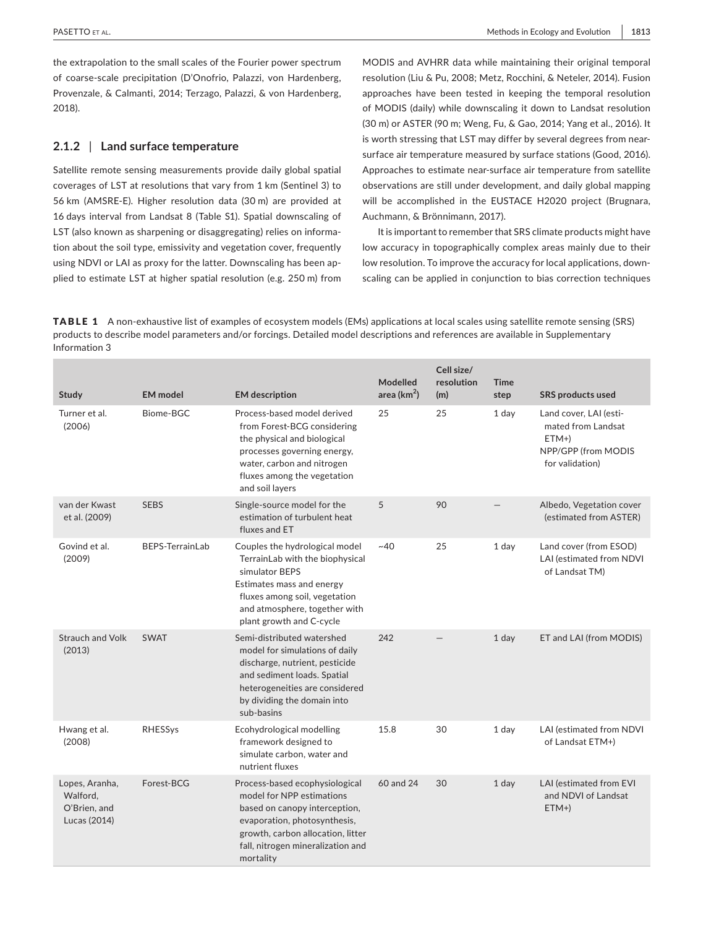the extrapolation to the small scales of the Fourier power spectrum of coarse-scale precipitation (D'Onofrio, Palazzi, von Hardenberg, Provenzale, & Calmanti, 2014; Terzago, Palazzi, & von Hardenberg, 2018).

## **2.1.2** | **Land surface temperature**

Satellite remote sensing measurements provide daily global spatial coverages of LST at resolutions that vary from 1 km (Sentinel 3) to 56 km (AMSRE-E). Higher resolution data (30 m) are provided at 16 days interval from Landsat 8 (Table S1). Spatial downscaling of LST (also known as sharpening or disaggregating) relies on information about the soil type, emissivity and vegetation cover, frequently using NDVI or LAI as proxy for the latter. Downscaling has been applied to estimate LST at higher spatial resolution (e.g. 250 m) from

MODIS and AVHRR data while maintaining their original temporal resolution (Liu & Pu, 2008; Metz, Rocchini, & Neteler, 2014). Fusion approaches have been tested in keeping the temporal resolution of MODIS (daily) while downscaling it down to Landsat resolution (30 m) or ASTER (90 m; Weng, Fu, & Gao, 2014; Yang et al., 2016). It is worth stressing that LST may differ by several degrees from nearsurface air temperature measured by surface stations (Good, 2016). Approaches to estimate near-surface air temperature from satellite observations are still under development, and daily global mapping will be accomplished in the EUSTACE H2020 project (Brugnara, Auchmann, & Brönnimann, 2017).

It is important to remember that SRS climate products might have low accuracy in topographically complex areas mainly due to their low resolution. To improve the accuracy for local applications, downscaling can be applied in conjunction to bias correction techniques

TABLE 1 A non-exhaustive list of examples of ecosystem models (EMs) applications at local scales using satellite remote sensing (SRS) products to describe model parameters and/or forcings. Detailed model descriptions and references are available in Supplementary Information 3

| <b>Study</b>                                               | <b>EM</b> model        | <b>EM</b> description                                                                                                                                                                                               | Modelled<br>area ( $km2$ ) | Cell size/<br>resolution<br>(m) | <b>Time</b><br>step | <b>SRS products used</b>                                                                         |
|------------------------------------------------------------|------------------------|---------------------------------------------------------------------------------------------------------------------------------------------------------------------------------------------------------------------|----------------------------|---------------------------------|---------------------|--------------------------------------------------------------------------------------------------|
| Turner et al.<br>(2006)                                    | Biome-BGC              | Process-based model derived<br>from Forest-BCG considering<br>the physical and biological<br>processes governing energy,<br>water, carbon and nitrogen<br>fluxes among the vegetation<br>and soil layers            | 25                         | 25                              | 1 day               | Land cover, LAI (esti-<br>mated from Landsat<br>$ETM+$<br>NPP/GPP (from MODIS<br>for validation) |
| van der Kwast<br>et al. (2009)                             | <b>SEBS</b>            | Single-source model for the<br>estimation of turbulent heat<br>fluxes and ET                                                                                                                                        | 5                          | 90                              |                     | Albedo, Vegetation cover<br>(estimated from ASTER)                                               |
| Govind et al.<br>(2009)                                    | <b>BEPS-TerrainLab</b> | Couples the hydrological model<br>TerrainLab with the biophysical<br>simulator BEPS<br>Estimates mass and energy<br>fluxes among soil, vegetation<br>and atmosphere, together with<br>plant growth and C-cycle      | ~10                        | 25                              | 1 day               | Land cover (from ESOD)<br>LAI (estimated from NDVI<br>of Landsat TM)                             |
| <b>Strauch and Volk</b><br>(2013)                          | <b>SWAT</b>            | Semi-distributed watershed<br>model for simulations of daily<br>discharge, nutrient, pesticide<br>and sediment loads. Spatial<br>heterogeneities are considered<br>by dividing the domain into<br>sub-basins        | 242                        |                                 | 1 day               | ET and LAI (from MODIS)                                                                          |
| Hwang et al.<br>(2008)                                     | RHESSys                | Ecohydrological modelling<br>framework designed to<br>simulate carbon, water and<br>nutrient fluxes                                                                                                                 | 15.8                       | 30                              | 1 day               | LAI (estimated from NDVI<br>of Landsat ETM+)                                                     |
| Lopes, Aranha,<br>Walford,<br>O'Brien, and<br>Lucas (2014) | Forest-BCG             | Process-based ecophysiological<br>model for NPP estimations<br>based on canopy interception,<br>evaporation, photosynthesis,<br>growth, carbon allocation, litter<br>fall, nitrogen mineralization and<br>mortality | 60 and 24                  | 30                              | 1 day               | LAI (estimated from EVI<br>and NDVI of Landsat<br>$ETM+$                                         |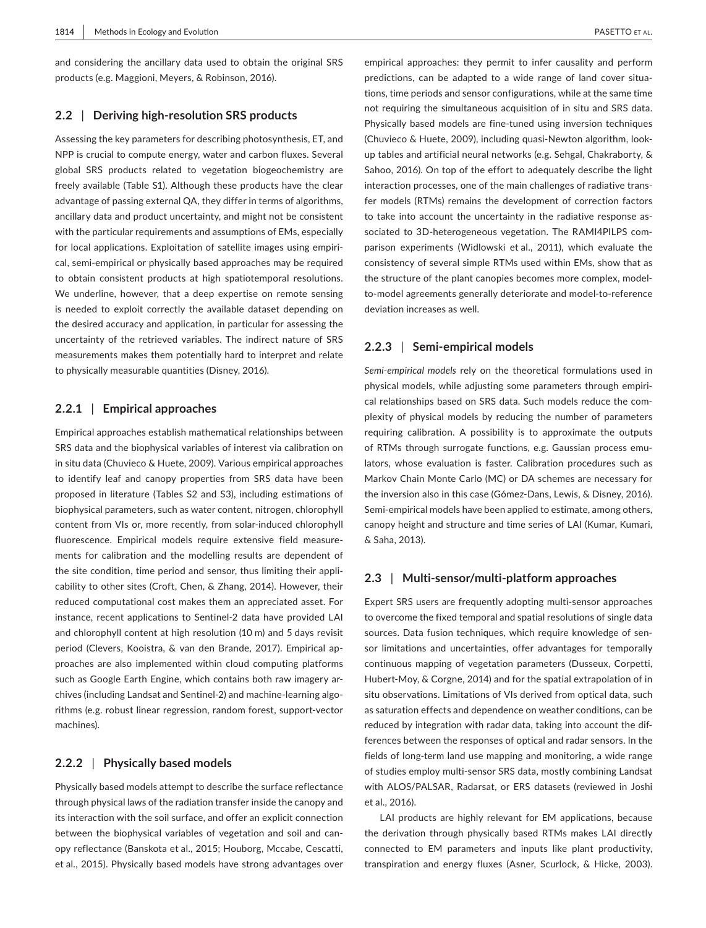and considering the ancillary data used to obtain the original SRS products (e.g. Maggioni, Meyers, & Robinson, 2016).

## **2.2** | **Deriving high-resolution SRS products**

Assessing the key parameters for describing photosynthesis, ET, and NPP is crucial to compute energy, water and carbon fluxes. Several global SRS products related to vegetation biogeochemistry are freely available (Table S1). Although these products have the clear advantage of passing external QA, they differ in terms of algorithms, ancillary data and product uncertainty, and might not be consistent with the particular requirements and assumptions of EMs, especially for local applications. Exploitation of satellite images using empirical, semi-empirical or physically based approaches may be required to obtain consistent products at high spatiotemporal resolutions. We underline, however, that a deep expertise on remote sensing is needed to exploit correctly the available dataset depending on the desired accuracy and application, in particular for assessing the uncertainty of the retrieved variables. The indirect nature of SRS measurements makes them potentially hard to interpret and relate to physically measurable quantities (Disney, 2016).

## **2.2.1** | **Empirical approaches**

Empirical approaches establish mathematical relationships between SRS data and the biophysical variables of interest via calibration on in situ data (Chuvieco & Huete, 2009). Various empirical approaches to identify leaf and canopy properties from SRS data have been proposed in literature (Tables S2 and S3), including estimations of biophysical parameters, such as water content, nitrogen, chlorophyll content from VIs or, more recently, from solar-induced chlorophyll fluorescence. Empirical models require extensive field measurements for calibration and the modelling results are dependent of the site condition, time period and sensor, thus limiting their applicability to other sites (Croft, Chen, & Zhang, 2014). However, their reduced computational cost makes them an appreciated asset. For instance, recent applications to Sentinel-2 data have provided LAI and chlorophyll content at high resolution (10 m) and 5 days revisit period (Clevers, Kooistra, & van den Brande, 2017). Empirical approaches are also implemented within cloud computing platforms such as Google Earth Engine, which contains both raw imagery archives (including Landsat and Sentinel-2) and machine-learning algorithms (e.g. robust linear regression, random forest, support-vector machines).

## **2.2.2** | **Physically based models**

Physically based models attempt to describe the surface reflectance through physical laws of the radiation transfer inside the canopy and its interaction with the soil surface, and offer an explicit connection between the biophysical variables of vegetation and soil and canopy reflectance (Banskota et al., 2015; Houborg, Mccabe, Cescatti, et al., 2015). Physically based models have strong advantages over

empirical approaches: they permit to infer causality and perform predictions, can be adapted to a wide range of land cover situations, time periods and sensor configurations, while at the same time not requiring the simultaneous acquisition of in situ and SRS data. Physically based models are fine-tuned using inversion techniques (Chuvieco & Huete, 2009), including quasi-Newton algorithm, lookup tables and artificial neural networks (e.g. Sehgal, Chakraborty, & Sahoo, 2016). On top of the effort to adequately describe the light interaction processes, one of the main challenges of radiative transfer models (RTMs) remains the development of correction factors to take into account the uncertainty in the radiative response associated to 3D-heterogeneous vegetation. The RAMI4PILPS comparison experiments (Widlowski et al., 2011), which evaluate the consistency of several simple RTMs used within EMs, show that as the structure of the plant canopies becomes more complex, modelto-model agreements generally deteriorate and model-to-reference deviation increases as well.

## **2.2.3** | **Semi-empirical models**

*Semi-empirical models* rely on the theoretical formulations used in physical models, while adjusting some parameters through empirical relationships based on SRS data. Such models reduce the complexity of physical models by reducing the number of parameters requiring calibration. A possibility is to approximate the outputs of RTMs through surrogate functions, e.g. Gaussian process emulators, whose evaluation is faster. Calibration procedures such as Markov Chain Monte Carlo (MC) or DA schemes are necessary for the inversion also in this case (Gómez-Dans, Lewis, & Disney, 2016). Semi-empirical models have been applied to estimate, among others, canopy height and structure and time series of LAI (Kumar, Kumari, & Saha, 2013).

## **2.3** | **Multi-sensor/multi-platform approaches**

Expert SRS users are frequently adopting multi-sensor approaches to overcome the fixed temporal and spatial resolutions of single data sources. Data fusion techniques, which require knowledge of sensor limitations and uncertainties, offer advantages for temporally continuous mapping of vegetation parameters (Dusseux, Corpetti, Hubert-Moy, & Corgne, 2014) and for the spatial extrapolation of in situ observations. Limitations of VIs derived from optical data, such as saturation effects and dependence on weather conditions, can be reduced by integration with radar data, taking into account the differences between the responses of optical and radar sensors. In the fields of long-term land use mapping and monitoring, a wide range of studies employ multi-sensor SRS data, mostly combining Landsat with ALOS/PALSAR, Radarsat, or ERS datasets (reviewed in Joshi et al., 2016).

LAI products are highly relevant for EM applications, because the derivation through physically based RTMs makes LAI directly connected to EM parameters and inputs like plant productivity, transpiration and energy fluxes (Asner, Scurlock, & Hicke, 2003).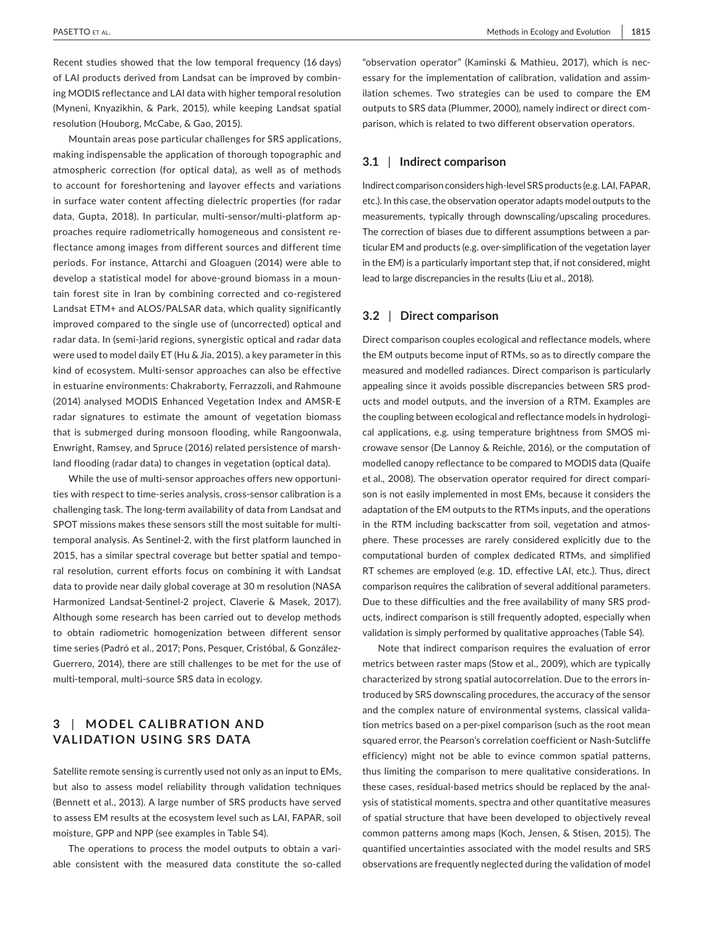Recent studies showed that the low temporal frequency (16 days) of LAI products derived from Landsat can be improved by combining MODIS reflectance and LAI data with higher temporal resolution (Myneni, Knyazikhin, & Park, 2015), while keeping Landsat spatial resolution (Houborg, McCabe, & Gao, 2015).

Mountain areas pose particular challenges for SRS applications, making indispensable the application of thorough topographic and atmospheric correction (for optical data), as well as of methods to account for foreshortening and layover effects and variations in surface water content affecting dielectric properties (for radar data, Gupta, 2018). In particular, multi-sensor/multi-platform approaches require radiometrically homogeneous and consistent reflectance among images from different sources and different time periods. For instance, Attarchi and Gloaguen (2014) were able to develop a statistical model for above-ground biomass in a mountain forest site in Iran by combining corrected and co-registered Landsat ETM+ and ALOS/PALSAR data, which quality significantly improved compared to the single use of (uncorrected) optical and radar data. In (semi-)arid regions, synergistic optical and radar data were used to model daily ET (Hu & Jia, 2015), a key parameter in this kind of ecosystem. Multi-sensor approaches can also be effective in estuarine environments: Chakraborty, Ferrazzoli, and Rahmoune (2014) analysed MODIS Enhanced Vegetation Index and AMSR-E radar signatures to estimate the amount of vegetation biomass that is submerged during monsoon flooding, while Rangoonwala, Enwright, Ramsey, and Spruce (2016) related persistence of marshland flooding (radar data) to changes in vegetation (optical data).

While the use of multi-sensor approaches offers new opportunities with respect to time-series analysis, cross-sensor calibration is a challenging task. The long-term availability of data from Landsat and SPOT missions makes these sensors still the most suitable for multitemporal analysis. As Sentinel-2, with the first platform launched in 2015, has a similar spectral coverage but better spatial and temporal resolution, current efforts focus on combining it with Landsat data to provide near daily global coverage at 30 m resolution (NASA Harmonized Landsat-Sentinel-2 project, Claverie & Masek, 2017). Although some research has been carried out to develop methods to obtain radiometric homogenization between different sensor time series (Padró et al., 2017; Pons, Pesquer, Cristóbal, & González-Guerrero, 2014), there are still challenges to be met for the use of multi-temporal, multi-source SRS data in ecology.

# **3** | **MODEL C ALIBR ATION AND VALIDATION USING SRS DATA**

Satellite remote sensing is currently used not only as an input to EMs, but also to assess model reliability through validation techniques (Bennett et al., 2013). A large number of SRS products have served to assess EM results at the ecosystem level such as LAI, FAPAR, soil moisture, GPP and NPP (see examples in Table S4).

The operations to process the model outputs to obtain a variable consistent with the measured data constitute the so-called "observation operator" (Kaminski & Mathieu, 2017), which is necessary for the implementation of calibration, validation and assimilation schemes. Two strategies can be used to compare the EM outputs to SRS data (Plummer, 2000), namely indirect or direct comparison, which is related to two different observation operators.

## **3.1** | **Indirect comparison**

Indirect comparison considers high-level SRS products (e.g. LAI, FAPAR, etc.). In this case, the observation operator adapts model outputs to the measurements, typically through downscaling/upscaling procedures. The correction of biases due to different assumptions between a particular EM and products (e.g. over-simplification of the vegetation layer in the EM) is a particularly important step that, if not considered, might lead to large discrepancies in the results (Liu et al., 2018).

## **3.2** | **Direct comparison**

Direct comparison couples ecological and reflectance models, where the EM outputs become input of RTMs, so as to directly compare the measured and modelled radiances. Direct comparison is particularly appealing since it avoids possible discrepancies between SRS products and model outputs, and the inversion of a RTM. Examples are the coupling between ecological and reflectance models in hydrological applications, e.g. using temperature brightness from SMOS microwave sensor (De Lannoy & Reichle, 2016), or the computation of modelled canopy reflectance to be compared to MODIS data (Quaife et al., 2008). The observation operator required for direct comparison is not easily implemented in most EMs, because it considers the adaptation of the EM outputs to the RTMs inputs, and the operations in the RTM including backscatter from soil, vegetation and atmosphere. These processes are rarely considered explicitly due to the computational burden of complex dedicated RTMs, and simplified RT schemes are employed (e.g. 1D, effective LAI, etc.). Thus, direct comparison requires the calibration of several additional parameters. Due to these difficulties and the free availability of many SRS products, indirect comparison is still frequently adopted, especially when validation is simply performed by qualitative approaches (Table S4).

Note that indirect comparison requires the evaluation of error metrics between raster maps (Stow et al., 2009), which are typically characterized by strong spatial autocorrelation. Due to the errors introduced by SRS downscaling procedures, the accuracy of the sensor and the complex nature of environmental systems, classical validation metrics based on a per-pixel comparison (such as the root mean squared error, the Pearson's correlation coefficient or Nash-Sutcliffe efficiency) might not be able to evince common spatial patterns, thus limiting the comparison to mere qualitative considerations. In these cases, residual-based metrics should be replaced by the analysis of statistical moments, spectra and other quantitative measures of spatial structure that have been developed to objectively reveal common patterns among maps (Koch, Jensen, & Stisen, 2015). The quantified uncertainties associated with the model results and SRS observations are frequently neglected during the validation of model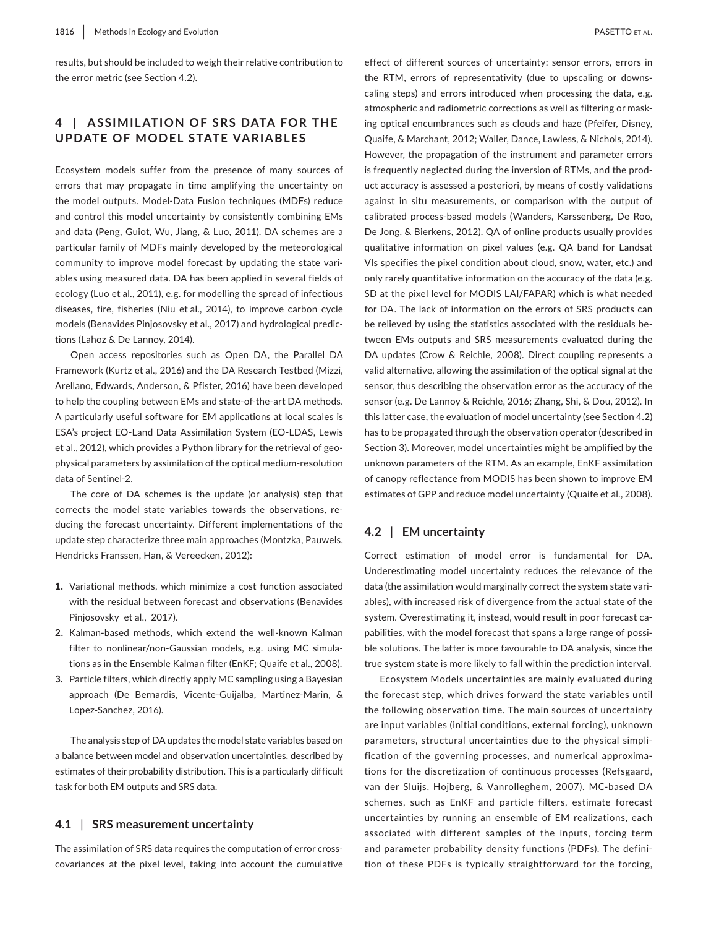results, but should be included to weigh their relative contribution to the error metric (see Section 4.2).

# **4** | **A SSIMIL ATION OF SRS DATA FOR THE UPDATE OF MODEL STATE VARIABLES**

Ecosystem models suffer from the presence of many sources of errors that may propagate in time amplifying the uncertainty on the model outputs. Model-Data Fusion techniques (MDFs) reduce and control this model uncertainty by consistently combining EMs and data (Peng, Guiot, Wu, Jiang, & Luo, 2011). DA schemes are a particular family of MDFs mainly developed by the meteorological community to improve model forecast by updating the state variables using measured data. DA has been applied in several fields of ecology (Luo et al., 2011), e.g. for modelling the spread of infectious diseases, fire, fisheries (Niu et al., 2014), to improve carbon cycle models (Benavides Pinjosovsky et al., 2017) and hydrological predictions (Lahoz & De Lannoy, 2014).

Open access repositories such as Open DA, the Parallel DA Framework (Kurtz et al., 2016) and the DA Research Testbed (Mizzi, Arellano, Edwards, Anderson, & Pfister, 2016) have been developed to help the coupling between EMs and state-of-the-art DA methods. A particularly useful software for EM applications at local scales is ESA's project EO-Land Data Assimilation System (EO-LDAS, Lewis et al., 2012), which provides a Python library for the retrieval of geophysical parameters by assimilation of the optical medium-resolution data of Sentinel-2.

The core of DA schemes is the update (or analysis) step that corrects the model state variables towards the observations, reducing the forecast uncertainty. Different implementations of the update step characterize three main approaches (Montzka, Pauwels, Hendricks Franssen, Han, & Vereecken, 2012):

- **1.** Variational methods, which minimize a cost function associated with the residual between forecast and observations (Benavides Pinjosovsky et al., 2017).
- **2.** Kalman-based methods, which extend the well-known Kalman filter to nonlinear/non-Gaussian models, e.g. using MC simulations as in the Ensemble Kalman filter (EnKF; Quaife et al., 2008).
- **3.** Particle filters, which directly apply MC sampling using a Bayesian approach (De Bernardis, Vicente-Guijalba, Martinez-Marin, & Lopez-Sanchez, 2016).

The analysis step of DA updates the model state variables based on a balance between model and observation uncertainties, described by estimates of their probability distribution. This is a particularly difficult task for both EM outputs and SRS data.

### **4.1** | **SRS measurement uncertainty**

The assimilation of SRS data requires the computation of error crosscovariances at the pixel level, taking into account the cumulative

effect of different sources of uncertainty: sensor errors, errors in the RTM, errors of representativity (due to upscaling or downscaling steps) and errors introduced when processing the data, e.g. atmospheric and radiometric corrections as well as filtering or masking optical encumbrances such as clouds and haze (Pfeifer, Disney, Quaife, & Marchant, 2012; Waller, Dance, Lawless, & Nichols, 2014). However, the propagation of the instrument and parameter errors is frequently neglected during the inversion of RTMs, and the product accuracy is assessed a posteriori, by means of costly validations against in situ measurements, or comparison with the output of calibrated process-based models (Wanders, Karssenberg, De Roo, De Jong, & Bierkens, 2012). QA of online products usually provides qualitative information on pixel values (e.g. QA band for Landsat VIs specifies the pixel condition about cloud, snow, water, etc.) and only rarely quantitative information on the accuracy of the data (e.g. SD at the pixel level for MODIS LAI/FAPAR) which is what needed for DA. The lack of information on the errors of SRS products can be relieved by using the statistics associated with the residuals between EMs outputs and SRS measurements evaluated during the DA updates (Crow & Reichle, 2008). Direct coupling represents a valid alternative, allowing the assimilation of the optical signal at the sensor, thus describing the observation error as the accuracy of the sensor (e.g. De Lannoy & Reichle, 2016; Zhang, Shi, & Dou, 2012). In this latter case, the evaluation of model uncertainty (see Section 4.2) has to be propagated through the observation operator (described in Section 3). Moreover, model uncertainties might be amplified by the unknown parameters of the RTM. As an example, EnKF assimilation of canopy reflectance from MODIS has been shown to improve EM estimates of GPP and reduce model uncertainty (Quaife et al., 2008).

## **4.2** | **EM uncertainty**

Correct estimation of model error is fundamental for DA. Underestimating model uncertainty reduces the relevance of the data (the assimilation would marginally correct the system state variables), with increased risk of divergence from the actual state of the system. Overestimating it, instead, would result in poor forecast capabilities, with the model forecast that spans a large range of possible solutions. The latter is more favourable to DA analysis, since the true system state is more likely to fall within the prediction interval.

Ecosystem Models uncertainties are mainly evaluated during the forecast step, which drives forward the state variables until the following observation time. The main sources of uncertainty are input variables (initial conditions, external forcing), unknown parameters, structural uncertainties due to the physical simplification of the governing processes, and numerical approximations for the discretization of continuous processes (Refsgaard, van der Sluijs, Hojberg, & Vanrolleghem, 2007). MC-based DA schemes, such as EnKF and particle filters, estimate forecast uncertainties by running an ensemble of EM realizations, each associated with different samples of the inputs, forcing term and parameter probability density functions (PDFs). The definition of these PDFs is typically straightforward for the forcing,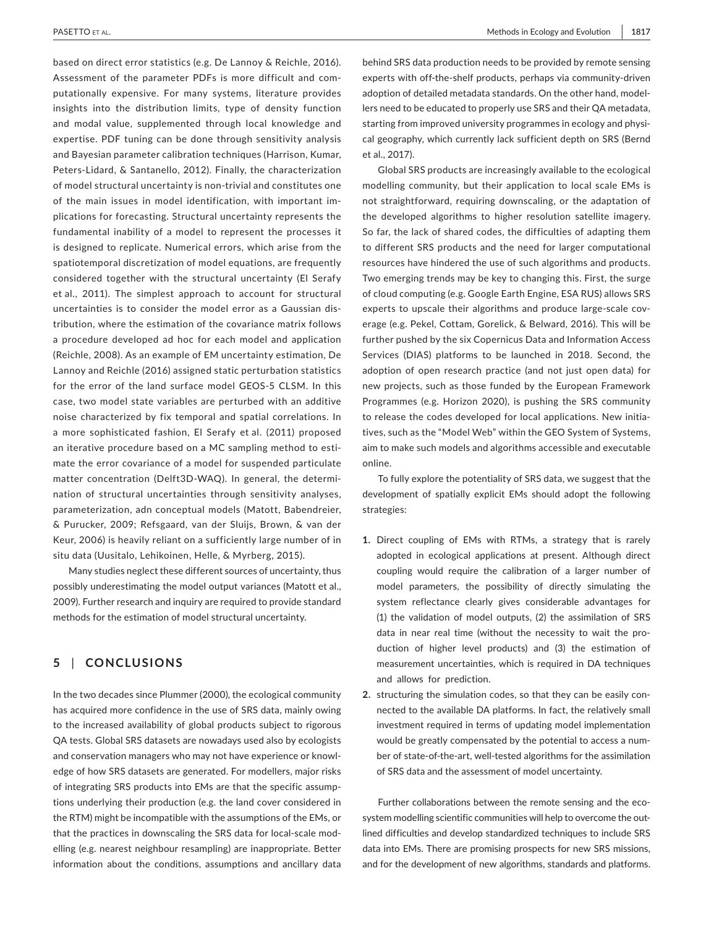based on direct error statistics (e.g. De Lannoy & Reichle, 2016). Assessment of the parameter PDFs is more difficult and computationally expensive. For many systems, literature provides insights into the distribution limits, type of density function and modal value, supplemented through local knowledge and expertise. PDF tuning can be done through sensitivity analysis and Bayesian parameter calibration techniques (Harrison, Kumar, Peters-Lidard, & Santanello, 2012). Finally, the characterization of model structural uncertainty is non-trivial and constitutes one of the main issues in model identification, with important implications for forecasting. Structural uncertainty represents the fundamental inability of a model to represent the processes it is designed to replicate. Numerical errors, which arise from the spatiotemporal discretization of model equations, are frequently considered together with the structural uncertainty (El Serafy et al., 2011). The simplest approach to account for structural uncertainties is to consider the model error as a Gaussian distribution, where the estimation of the covariance matrix follows a procedure developed ad hoc for each model and application (Reichle, 2008). As an example of EM uncertainty estimation, De Lannoy and Reichle (2016) assigned static perturbation statistics for the error of the land surface model GEOS-5 CLSM. In this case, two model state variables are perturbed with an additive noise characterized by fix temporal and spatial correlations. In a more sophisticated fashion, El Serafy et al. (2011) proposed an iterative procedure based on a MC sampling method to estimate the error covariance of a model for suspended particulate matter concentration (Delft3D-WAQ). In general, the determination of structural uncertainties through sensitivity analyses, parameterization, adn conceptual models (Matott, Babendreier, & Purucker, 2009; Refsgaard, van der Sluijs, Brown, & van der Keur, 2006) is heavily reliant on a sufficiently large number of in situ data (Uusitalo, Lehikoinen, Helle, & Myrberg, 2015).

Many studies neglect these different sources of uncertainty, thus possibly underestimating the model output variances (Matott et al., 2009). Further research and inquiry are required to provide standard methods for the estimation of model structural uncertainty.

# **5** | **CONCLUSIONS**

In the two decades since Plummer (2000), the ecological community has acquired more confidence in the use of SRS data, mainly owing to the increased availability of global products subject to rigorous QA tests. Global SRS datasets are nowadays used also by ecologists and conservation managers who may not have experience or knowledge of how SRS datasets are generated. For modellers, major risks of integrating SRS products into EMs are that the specific assumptions underlying their production (e.g. the land cover considered in the RTM) might be incompatible with the assumptions of the EMs, or that the practices in downscaling the SRS data for local-scale modelling (e.g. nearest neighbour resampling) are inappropriate. Better information about the conditions, assumptions and ancillary data behind SRS data production needs to be provided by remote sensing experts with off-the-shelf products, perhaps via community-driven adoption of detailed metadata standards. On the other hand, modellers need to be educated to properly use SRS and their QA metadata, starting from improved university programmes in ecology and physical geography, which currently lack sufficient depth on SRS (Bernd et al., 2017).

Global SRS products are increasingly available to the ecological modelling community, but their application to local scale EMs is not straightforward, requiring downscaling, or the adaptation of the developed algorithms to higher resolution satellite imagery. So far, the lack of shared codes, the difficulties of adapting them to different SRS products and the need for larger computational resources have hindered the use of such algorithms and products. Two emerging trends may be key to changing this. First, the surge of cloud computing (e.g. Google Earth Engine, ESA RUS) allows SRS experts to upscale their algorithms and produce large-scale coverage (e.g. Pekel, Cottam, Gorelick, & Belward, 2016). This will be further pushed by the six Copernicus Data and Information Access Services (DIAS) platforms to be launched in 2018. Second, the adoption of open research practice (and not just open data) for new projects, such as those funded by the European Framework Programmes (e.g. Horizon 2020), is pushing the SRS community to release the codes developed for local applications. New initiatives, such as the "Model Web" within the GEO System of Systems, aim to make such models and algorithms accessible and executable online.

To fully explore the potentiality of SRS data, we suggest that the development of spatially explicit EMs should adopt the following strategies:

- **1.** Direct coupling of EMs with RTMs, a strategy that is rarely adopted in ecological applications at present. Although direct coupling would require the calibration of a larger number of model parameters, the possibility of directly simulating the system reflectance clearly gives considerable advantages for (1) the validation of model outputs, (2) the assimilation of SRS data in near real time (without the necessity to wait the production of higher level products) and (3) the estimation of measurement uncertainties, which is required in DA techniques and allows for prediction.
- **2.** structuring the simulation codes, so that they can be easily connected to the available DA platforms. In fact, the relatively small investment required in terms of updating model implementation would be greatly compensated by the potential to access a number of state-of-the-art, well-tested algorithms for the assimilation of SRS data and the assessment of model uncertainty.

Further collaborations between the remote sensing and the ecosystem modelling scientific communities will help to overcome the outlined difficulties and develop standardized techniques to include SRS data into EMs. There are promising prospects for new SRS missions, and for the development of new algorithms, standards and platforms.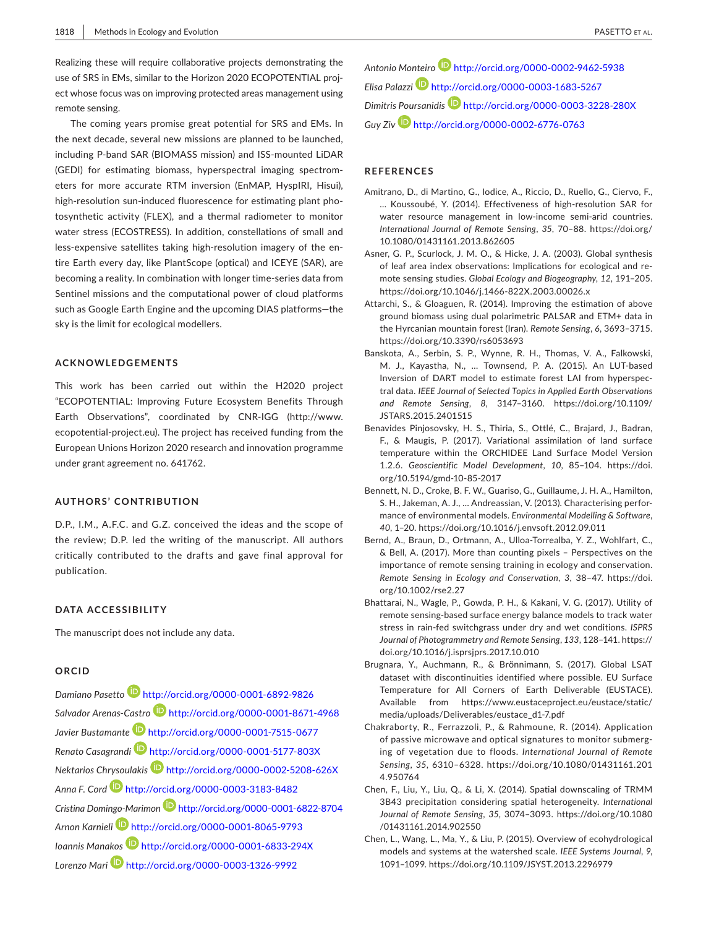Realizing these will require collaborative projects demonstrating the use of SRS in EMs, similar to the Horizon 2020 ECOPOTENTIAL project whose focus was on improving protected areas management using remote sensing.

The coming years promise great potential for SRS and EMs. In the next decade, several new missions are planned to be launched, including P-band SAR (BIOMASS mission) and ISS-mounted LiDAR (GEDI) for estimating biomass, hyperspectral imaging spectrometers for more accurate RTM inversion (EnMAP, HyspIRI, Hisui), high-resolution sun-induced fluorescence for estimating plant photosynthetic activity (FLEX), and a thermal radiometer to monitor water stress (ECOSTRESS). In addition, constellations of small and less-expensive satellites taking high-resolution imagery of the entire Earth every day, like PlantScope (optical) and ICEYE (SAR), are becoming a reality. In combination with longer time-series data from Sentinel missions and the computational power of cloud platforms such as Google Earth Engine and the upcoming DIAS platforms—the sky is the limit for ecological modellers.

### **ACKNOWLEDGEMENTS**

This work has been carried out within the H2020 project "ECOPOTENTIAL: Improving Future Ecosystem Benefits Through Earth Observations", coordinated by CNR-IGG ([http://www.](http://www.ecopotential-project.eu) [ecopotential-project.eu\)](http://www.ecopotential-project.eu). The project has received funding from the European Unions Horizon 2020 research and innovation programme under grant agreement no. 641762.

## **AUTHORS' CONTRIBUTION**

D.P., I.M., A.F.C. and G.Z. conceived the ideas and the scope of the review; D.P. led the writing of the manuscript. All authors critically contributed to the drafts and gave final approval for publication.

## **DATA ACCESSIBILITY**

The manuscript does not include any data.

#### **ORCID**

*Damiano Pasetto* <http://orcid.org/0000-0001-6892-9826> *Salvador Arenas-Castr[o](http://orcid.org/0000-0001-8671-4968)* <http://orcid.org/0000-0001-8671-4968> *Javier Bustamante* <http://orcid.org/0000-0001-7515-0677> *Renato Casagrandi* <http://orcid.org/0000-0001-5177-803X> *Nektarios Chrysoulakis* <http://orcid.org/0000-0002-5208-626X> *Anna F. Cor[d](http://orcid.org/0000-0003-3183-8482)* <http://orcid.org/0000-0003-3183-8482> *Cristina Domingo-Marimo[n](http://orcid.org/0000-0001-6822-8704)* <http://orcid.org/0000-0001-6822-8704> *Arnon Karnieli* <http://orcid.org/0000-0001-8065-9793> *Ioannis Manakos* <http://orcid.org/0000-0001-6833-294X> *Lorenzo Mari* <http://orcid.org/0000-0003-1326-9992>

*Antonio Monteiro* <http://orcid.org/0000-0002-9462-5938> *Elisa Palazz[i](http://orcid.org/0000-0003-1683-5267)* <http://orcid.org/0000-0003-1683-5267> *Dimitris Poursanidis* <http://orcid.org/0000-0003-3228-280X> *Guy Ziv* <http://orcid.org/0000-0002-6776-0763>

### **REFERENCES**

- Amitrano, D., di Martino, G., Iodice, A., Riccio, D., Ruello, G., Ciervo, F., … Koussoubé, Y. (2014). Effectiveness of high-resolution SAR for water resource management in low-income semi-arid countries. *International Journal of Remote Sensing*, *35*, 70–88. [https://doi.org/](https://doi.org/10.1080/01431161.2013.862605) [10.1080/01431161.2013.862605](https://doi.org/10.1080/01431161.2013.862605)
- Asner, G. P., Scurlock, J. M. O., & Hicke, J. A. (2003). Global synthesis of leaf area index observations: Implications for ecological and remote sensing studies. *Global Ecology and Biogeography*, *12*, 191–205. <https://doi.org/10.1046/j.1466-822X.2003.00026.x>
- Attarchi, S., & Gloaguen, R. (2014). Improving the estimation of above ground biomass using dual polarimetric PALSAR and ETM+ data in the Hyrcanian mountain forest (Iran). *Remote Sensing*, *6*, 3693–3715. <https://doi.org/10.3390/rs6053693>
- Banskota, A., Serbin, S. P., Wynne, R. H., Thomas, V. A., Falkowski, M. J., Kayastha, N., … Townsend, P. A. (2015). An LUT-based Inversion of DART model to estimate forest LAI from hyperspectral data. *IEEE Journal of Selected Topics in Applied Earth Observations and Remote Sensing*, *8*, 3147–3160. [https://doi.org/10.1109/](https://doi.org/10.1109/JSTARS.2015.2401515) [JSTARS.2015.2401515](https://doi.org/10.1109/JSTARS.2015.2401515)
- Benavides Pinjosovsky, H. S., Thiria, S., Ottlé, C., Brajard, J., Badran, F., & Maugis, P. (2017). Variational assimilation of land surface temperature within the ORCHIDEE Land Surface Model Version 1.2.6. *Geoscientific Model Development*, *10*, 85–104. [https://doi.](https://doi.org/10.5194/gmd-10-85-2017) [org/10.5194/gmd-10-85-2017](https://doi.org/10.5194/gmd-10-85-2017)
- Bennett, N. D., Croke, B. F. W., Guariso, G., Guillaume, J. H. A., Hamilton, S. H., Jakeman, A. J., … Andreassian, V. (2013). Characterising performance of environmental models. *Environmental Modelling & Software*, *40*, 1–20.<https://doi.org/10.1016/j.envsoft.2012.09.011>
- Bernd, A., Braun, D., Ortmann, A., Ulloa-Torrealba, Y. Z., Wohlfart, C., & Bell, A. (2017). More than counting pixels – Perspectives on the importance of remote sensing training in ecology and conservation. *Remote Sensing in Ecology and Conservation*, *3*, 38–47. [https://doi.](https://doi.org/10.1002/rse2.27) [org/10.1002/rse2.27](https://doi.org/10.1002/rse2.27)
- Bhattarai, N., Wagle, P., Gowda, P. H., & Kakani, V. G. (2017). Utility of remote sensing-based surface energy balance models to track water stress in rain-fed switchgrass under dry and wet conditions. *ISPRS Journal of Photogrammetry and Remote Sensing*, *133*, 128–141. [https://](https://doi.org/10.1016/j.isprsjprs.2017.10.010) [doi.org/10.1016/j.isprsjprs.2017.10.010](https://doi.org/10.1016/j.isprsjprs.2017.10.010)
- Brugnara, Y., Auchmann, R., & Brönnimann, S. (2017). Global LSAT dataset with discontinuities identified where possible. EU Surface Temperature for All Corners of Earth Deliverable (EUSTACE). Available from [https://www.eustaceproject.eu/eustace/static/](https://www.eustaceproject.eu/eustace/static/media/uploads/Deliverables/eustace_d1-7.pdf) [media/uploads/Deliverables/eustace\\_d1-7.pdf](https://www.eustaceproject.eu/eustace/static/media/uploads/Deliverables/eustace_d1-7.pdf)
- Chakraborty, R., Ferrazzoli, P., & Rahmoune, R. (2014). Application of passive microwave and optical signatures to monitor submerging of vegetation due to floods. *International Journal of Remote Sensing*, *35*, 6310–6328. [https://doi.org/10.1080/01431161.201](https://doi.org/10.1080/01431161.2014.950764) [4.950764](https://doi.org/10.1080/01431161.2014.950764)
- Chen, F., Liu, Y., Liu, Q., & Li, X. (2014). Spatial downscaling of TRMM 3B43 precipitation considering spatial heterogeneity. *International Journal of Remote Sensing*, *35*, 3074–3093. [https://doi.org/10.1080](https://doi.org/10.1080/01431161.2014.902550) [/01431161.2014.902550](https://doi.org/10.1080/01431161.2014.902550)
- Chen, L., Wang, L., Ma, Y., & Liu, P. (2015). Overview of ecohydrological models and systems at the watershed scale. *IEEE Systems Journal*, *9*, 1091–1099. <https://doi.org/10.1109/JSYST.2013.2296979>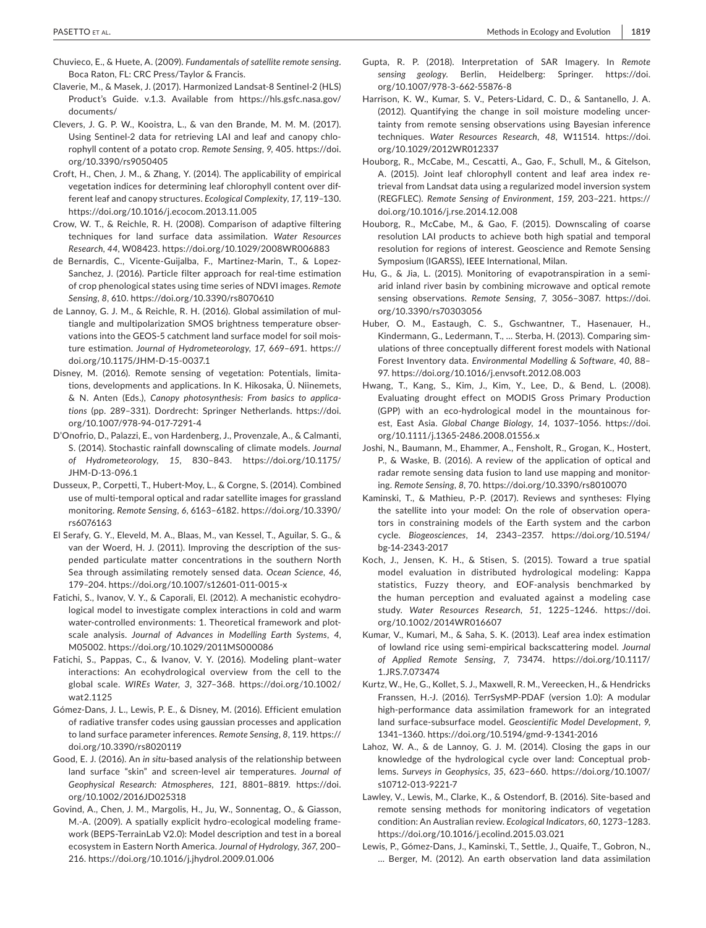- Chuvieco, E., & Huete, A. (2009). *Fundamentals of satellite remote sensing*. Boca Raton, FL: CRC Press/Taylor & Francis.
- Claverie, M., & Masek, J. (2017). Harmonized Landsat-8 Sentinel-2 (HLS) Product's Guide. v.1.3. Available from [https://hls.gsfc.nasa.gov/](https://hls.gsfc.nasa.gov/documents/) [documents/](https://hls.gsfc.nasa.gov/documents/)
- Clevers, J. G. P. W., Kooistra, L., & van den Brande, M. M. M. (2017). Using Sentinel-2 data for retrieving LAI and leaf and canopy chlorophyll content of a potato crop. *Remote Sensing*, *9*, 405. [https://doi.](https://doi.org/10.3390/rs9050405) [org/10.3390/rs9050405](https://doi.org/10.3390/rs9050405)
- Croft, H., Chen, J. M., & Zhang, Y. (2014). The applicability of empirical vegetation indices for determining leaf chlorophyll content over different leaf and canopy structures. *Ecological Complexity*, *17*, 119–130. <https://doi.org/10.1016/j.ecocom.2013.11.005>
- Crow, W. T., & Reichle, R. H. (2008). Comparison of adaptive filtering techniques for land surface data assimilation. *Water Resources Research*, *44*, W08423. <https://doi.org/10.1029/2008WR006883>
- de Bernardis, C., Vicente-Guijalba, F., Martinez-Marin, T., & Lopez-Sanchez, J. (2016). Particle filter approach for real-time estimation of crop phenological states using time series of NDVI images. *Remote Sensing*, *8*, 610.<https://doi.org/10.3390/rs8070610>
- de Lannoy, G. J. M., & Reichle, R. H. (2016). Global assimilation of multiangle and multipolarization SMOS brightness temperature observations into the GEOS-5 catchment land surface model for soil moisture estimation. *Journal of Hydrometeorology*, *17*, 669–691. [https://](https://doi.org/10.1175/JHM-D-15-0037.1) [doi.org/10.1175/JHM-D-15-0037.1](https://doi.org/10.1175/JHM-D-15-0037.1)
- Disney, M. (2016). Remote sensing of vegetation: Potentials, limitations, developments and applications. In K. Hikosaka, Ü. Niinemets, & N. Anten (Eds.), *Canopy photosynthesis: From basics to applications* (pp. 289–331). Dordrecht: Springer Netherlands. [https://doi.](https://doi.org/10.1007/978-94-017-7291-4) [org/10.1007/978-94-017-7291-4](https://doi.org/10.1007/978-94-017-7291-4)
- D'Onofrio, D., Palazzi, E., von Hardenberg, J., Provenzale, A., & Calmanti, S. (2014). Stochastic rainfall downscaling of climate models. *Journal of Hydrometeorology*, *15*, 830–843. [https://doi.org/10.1175/](https://doi.org/10.1175/JHM-D-13-096.1) [JHM-D-13-096.1](https://doi.org/10.1175/JHM-D-13-096.1)
- Dusseux, P., Corpetti, T., Hubert-Moy, L., & Corgne, S. (2014). Combined use of multi-temporal optical and radar satellite images for grassland monitoring. *Remote Sensing*, *6*, 6163–6182. [https://doi.org/10.3390/](https://doi.org/10.3390/rs6076163) [rs6076163](https://doi.org/10.3390/rs6076163)
- El Serafy, G. Y., Eleveld, M. A., Blaas, M., van Kessel, T., Aguilar, S. G., & van der Woerd, H. J. (2011). Improving the description of the suspended particulate matter concentrations in the southern North Sea through assimilating remotely sensed data. *Ocean Science*, *46*, 179–204. <https://doi.org/10.1007/s12601-011-0015-x>
- Fatichi, S., Ivanov, V. Y., & Caporali, El. (2012). A mechanistic ecohydrological model to investigate complex interactions in cold and warm water-controlled environments: 1. Theoretical framework and plotscale analysis. *Journal of Advances in Modelling Earth Systems*, *4*, M05002.<https://doi.org/10.1029/2011MS000086>
- Fatichi, S., Pappas, C., & Ivanov, V. Y. (2016). Modeling plant–water interactions: An ecohydrological overview from the cell to the global scale. *WIREs Water*, *3*, 327–368. [https://doi.org/10.1002/](https://doi.org/10.1002/wat2.1125) [wat2.1125](https://doi.org/10.1002/wat2.1125)
- Gómez-Dans, J. L., Lewis, P. E., & Disney, M. (2016). Efficient emulation of radiative transfer codes using gaussian processes and application to land surface parameter inferences. *Remote Sensing*, *8*, 119. [https://](https://doi.org/10.3390/rs8020119) [doi.org/10.3390/rs8020119](https://doi.org/10.3390/rs8020119)
- Good, E. J. (2016). An *in situ*-based analysis of the relationship between land surface "skin" and screen-level air temperatures. *Journal of Geophysical Research: Atmospheres*, *121*, 8801–8819. [https://doi.](https://doi.org/10.1002/2016JD025318) [org/10.1002/2016JD025318](https://doi.org/10.1002/2016JD025318)
- Govind, A., Chen, J. M., Margolis, H., Ju, W., Sonnentag, O., & Giasson, M.-A. (2009). A spatially explicit hydro-ecological modeling framework (BEPS-TerrainLab V2.0): Model description and test in a boreal ecosystem in Eastern North America. *Journal of Hydrology*, *367*, 200– 216. <https://doi.org/10.1016/j.jhydrol.2009.01.006>
- Gupta, R. P. (2018). Interpretation of SAR Imagery. In *Remote sensing geology*. Berlin, Heidelberg: Springer. [https://doi.](https://doi.org/10.1007/978-3-662-55876-8) [org/10.1007/978-3-662-55876-8](https://doi.org/10.1007/978-3-662-55876-8)
- Harrison, K. W., Kumar, S. V., Peters-Lidard, C. D., & Santanello, J. A. (2012). Quantifying the change in soil moisture modeling uncertainty from remote sensing observations using Bayesian inference techniques. *Water Resources Research*, *48*, W11514. [https://doi.](https://doi.org/10.1029/2012WR012337) [org/10.1029/2012WR012337](https://doi.org/10.1029/2012WR012337)
- Houborg, R., McCabe, M., Cescatti, A., Gao, F., Schull, M., & Gitelson, A. (2015). Joint leaf chlorophyll content and leaf area index retrieval from Landsat data using a regularized model inversion system (REGFLEC). *Remote Sensing of Environment*, *159*, 203–221. [https://](https://doi.org/10.1016/j.rse.2014.12.008) [doi.org/10.1016/j.rse.2014.12.008](https://doi.org/10.1016/j.rse.2014.12.008)
- Houborg, R., McCabe, M., & Gao, F. (2015). Downscaling of coarse resolution LAI products to achieve both high spatial and temporal resolution for regions of interest. Geoscience and Remote Sensing Symposium (IGARSS), IEEE International, Milan.
- Hu, G., & Jia, L. (2015). Monitoring of evapotranspiration in a semiarid inland river basin by combining microwave and optical remote sensing observations. *Remote Sensing*, *7*, 3056–3087. [https://doi.](https://doi.org/10.3390/rs70303056) [org/10.3390/rs70303056](https://doi.org/10.3390/rs70303056)
- Huber, O. M., Eastaugh, C. S., Gschwantner, T., Hasenauer, H., Kindermann, G., Ledermann, T., … Sterba, H. (2013). Comparing simulations of three conceptually different forest models with National Forest Inventory data. *Environmental Modelling & Software*, *40*, 88– 97. <https://doi.org/10.1016/j.envsoft.2012.08.003>
- Hwang, T., Kang, S., Kim, J., Kim, Y., Lee, D., & Bend, L. (2008). Evaluating drought effect on MODIS Gross Primary Production (GPP) with an eco-hydrological model in the mountainous forest, East Asia. *Global Change Biology*, *14*, 1037–1056. [https://doi.](https://doi.org/10.1111/j.1365-2486.2008.01556.x) [org/10.1111/j.1365-2486.2008.01556.x](https://doi.org/10.1111/j.1365-2486.2008.01556.x)
- Joshi, N., Baumann, M., Ehammer, A., Fensholt, R., Grogan, K., Hostert, P., & Waske, B. (2016). A review of the application of optical and radar remote sensing data fusion to land use mapping and monitoring. *Remote Sensing*, *8*, 70.<https://doi.org/10.3390/rs8010070>
- Kaminski, T., & Mathieu, P.-P. (2017). Reviews and syntheses: Flying the satellite into your model: On the role of observation operators in constraining models of the Earth system and the carbon cycle. *Biogeosciences*, *14*, 2343–2357. [https://doi.org/10.5194/](https://doi.org/10.5194/bg-14-2343-2017) [bg-14-2343-2017](https://doi.org/10.5194/bg-14-2343-2017)
- Koch, J., Jensen, K. H., & Stisen, S. (2015). Toward a true spatial model evaluation in distributed hydrological modeling: Kappa statistics, Fuzzy theory, and EOF-analysis benchmarked by the human perception and evaluated against a modeling case study. *Water Resources Research*, *51*, 1225–1246. [https://doi.](https://doi.org/10.1002/2014WR016607) [org/10.1002/2014WR016607](https://doi.org/10.1002/2014WR016607)
- Kumar, V., Kumari, M., & Saha, S. K. (2013). Leaf area index estimation of lowland rice using semi-empirical backscattering model. *Journal of Applied Remote Sensing*, *7*, 73474. [https://doi.org/10.1117/](https://doi.org/10.1117/1.JRS.7.073474) [1.JRS.7.073474](https://doi.org/10.1117/1.JRS.7.073474)
- Kurtz, W., He, G., Kollet, S. J., Maxwell, R. M., Vereecken, H., & Hendricks Franssen, H.-J. (2016). TerrSysMP-PDAF (version 1.0): A modular high-performance data assimilation framework for an integrated land surface-subsurface model. *Geoscientific Model Development*, *9*, 1341–1360. <https://doi.org/10.5194/gmd-9-1341-2016>
- Lahoz, W. A., & de Lannoy, G. J. M. (2014). Closing the gaps in our knowledge of the hydrological cycle over land: Conceptual problems. *Surveys in Geophysics*, *35*, 623–660. [https://doi.org/10.1007/](https://doi.org/10.1007/s10712-013-9221-7) [s10712-013-9221-7](https://doi.org/10.1007/s10712-013-9221-7)
- Lawley, V., Lewis, M., Clarke, K., & Ostendorf, B. (2016). Site-based and remote sensing methods for monitoring indicators of vegetation condition: An Australian review. *Ecological Indicators*, *60*, 1273–1283. <https://doi.org/10.1016/j.ecolind.2015.03.021>
- Lewis, P., Gómez-Dans, J., Kaminski, T., Settle, J., Quaife, T., Gobron, N., … Berger, M. (2012). An earth observation land data assimilation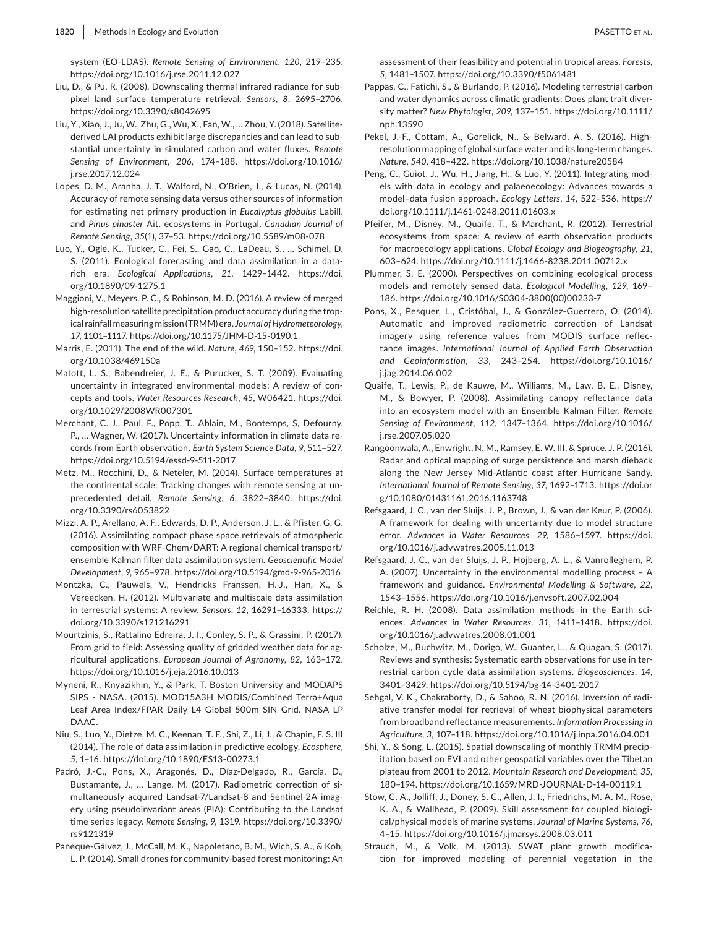system (EO-LDAS). *Remote Sensing of Environment*, *120*, 219–235. <https://doi.org/10.1016/j.rse.2011.12.027>

- Liu, D., & Pu, R. (2008). Downscaling thermal infrared radiance for subpixel land surface temperature retrieval. *Sensors*, *8*, 2695–2706. <https://doi.org/10.3390/s8042695>
- Liu, Y., Xiao, J., Ju, W., Zhu, G., Wu, X., Fan, W., … Zhou, Y. (2018). Satellitederived LAI products exhibit large discrepancies and can lead to substantial uncertainty in simulated carbon and water fluxes. *Remote Sensing of Environment*, *206*, 174–188. [https://doi.org/10.1016/](https://doi.org/10.1016/j.rse.2017.12.024) [j.rse.2017.12.024](https://doi.org/10.1016/j.rse.2017.12.024)
- Lopes, D. M., Aranha, J. T., Walford, N., O'Brien, J., & Lucas, N. (2014). Accuracy of remote sensing data versus other sources of information for estimating net primary production in *Eucalyptus globulus* Labill. and *Pinus pinaster* Ait. ecosystems in Portugal. *Canadian Journal of Remote Sensing*, *35*(1), 37–53. <https://doi.org/10.5589/m08-078>
- Luo, Y., Ogle, K., Tucker, C., Fei, S., Gao, C., LaDeau, S., … Schimel, D. S. (2011). Ecological forecasting and data assimilation in a datarich era. *Ecological Applications*, *21*, 1429–1442. [https://doi.](https://doi.org/10.1890/09-1275.1) [org/10.1890/09-1275.1](https://doi.org/10.1890/09-1275.1)
- Maggioni, V., Meyers, P. C., & Robinson, M. D. (2016). A review of merged high-resolution satellite precipitation product accuracy during the tropical rainfall measuring mission (TRMM) era. *Journal of Hydrometeorology*, *17*, 1101–1117. <https://doi.org/10.1175/JHM-D-15-0190.1>
- Marris, E. (2011). The end of the wild. *Nature*, *469*, 150–152. [https://doi.](https://doi.org/10.1038/469150a) [org/10.1038/469150a](https://doi.org/10.1038/469150a)
- Matott, L. S., Babendreier, J. E., & Purucker, S. T. (2009). Evaluating uncertainty in integrated environmental models: A review of concepts and tools. *Water Resources Research*, *45*, W06421. [https://doi.](https://doi.org/10.1029/2008WR007301) [org/10.1029/2008WR007301](https://doi.org/10.1029/2008WR007301)
- Merchant, C. J., Paul, F., Popp, T., Ablain, M., Bontemps, S, Defourny, P., … Wagner, W. (2017). Uncertainty information in climate data records from Earth observation. *Earth System Science Data*, *9*, 511–527. <https://doi.org/10.5194/essd-9-511-2017>
- Metz, M., Rocchini, D., & Neteler, M. (2014). Surface temperatures at the continental scale: Tracking changes with remote sensing at unprecedented detail. *Remote Sensing*, *6*, 3822–3840. [https://doi.](https://doi.org/10.3390/rs6053822) [org/10.3390/rs6053822](https://doi.org/10.3390/rs6053822)
- Mizzi, A. P., Arellano, A. F., Edwards, D. P., Anderson, J. L., & Pfister, G. G. (2016). Assimilating compact phase space retrievals of atmospheric composition with WRF-Chem/DART: A regional chemical transport/ ensemble Kalman filter data assimilation system. *Geoscientific Model Development*, *9*, 965–978.<https://doi.org/10.5194/gmd-9-965-2016>
- Montzka, C., Pauwels, V., Hendricks Franssen, H.-J., Han, X., & Vereecken, H. (2012). Multivariate and multiscale data assimilation in terrestrial systems: A review. *Sensors*, *12*, 16291–16333. [https://](https://doi.org/10.3390/s121216291) [doi.org/10.3390/s121216291](https://doi.org/10.3390/s121216291)
- Mourtzinis, S., Rattalino Edreira, J. I., Conley, S. P., & Grassini, P. (2017). From grid to field: Assessing quality of gridded weather data for agricultural applications. *European Journal of Agronomy*, *82*, 163–172. <https://doi.org/10.1016/j.eja.2016.10.013>
- Myneni, R., Knyazikhin, Y., & Park, T. Boston University and MODAPS SIPS - NASA. (2015). MOD15A3H MODIS/Combined Terra+Aqua Leaf Area Index/FPAR Daily L4 Global 500m SIN Grid. NASA LP DAAC.
- Niu, S., Luo, Y., Dietze, M. C., Keenan, T. F., Shi, Z., Li, J., & Chapin, F. S. III (2014). The role of data assimilation in predictive ecology. *Ecosphere*, *5*, 1–16.<https://doi.org/10.1890/ES13-00273.1>
- Padró, J.-C., Pons, X., Aragonés, D., Díaz-Delgado, R., García, D., Bustamante, J., … Lange, M. (2017). Radiometric correction of simultaneously acquired Landsat-7/Landsat-8 and Sentinel-2A imagery using pseudoinvariant areas (PIA): Contributing to the Landsat time series legacy. *Remote Sensing*, *9*, 1319. [https://doi.org/10.3390/](https://doi.org/10.3390/rs9121319) [rs9121319](https://doi.org/10.3390/rs9121319)
- Paneque-Gálvez, J., McCall, M. K., Napoletano, B. M., Wich, S. A., & Koh, L. P. (2014). Small drones for community-based forest monitoring: An

assessment of their feasibility and potential in tropical areas. *Forests*, *5*, 1481–1507. <https://doi.org/10.3390/f5061481>

- Pappas, C., Fatichi, S., & Burlando, P. (2016). Modeling terrestrial carbon and water dynamics across climatic gradients: Does plant trait diversity matter? *New Phytologist*, *209*, 137–151. [https://doi.org/10.1111/](https://doi.org/10.1111/nph.13590) [nph.13590](https://doi.org/10.1111/nph.13590)
- Pekel, J.-F., Cottam, A., Gorelick, N., & Belward, A. S. (2016). Highresolution mapping of global surface water and its long-term changes. *Nature*, *540*, 418–422. <https://doi.org/10.1038/nature20584>
- Peng, C., Guiot, J., Wu, H., Jiang, H., & Luo, Y. (2011). Integrating models with data in ecology and palaeoecology: Advances towards a model–data fusion approach. *Ecology Letters*, *14*, 522–536. [https://](https://doi.org/10.1111/j.1461-0248.2011.01603.x) [doi.org/10.1111/j.1461-0248.2011.01603.x](https://doi.org/10.1111/j.1461-0248.2011.01603.x)
- Pfeifer, M., Disney, M., Quaife, T., & Marchant, R. (2012). Terrestrial ecosystems from space: A review of earth observation products for macroecology applications. *Global Ecology and Biogeography*, *21*, 603–624. <https://doi.org/10.1111/j.1466-8238.2011.00712.x>
- Plummer, S. E. (2000). Perspectives on combining ecological process models and remotely sensed data. *Ecological Modelling*, *129*, 169– 186. [https://doi.org/10.1016/S0304-3800\(00\)00233-7](https://doi.org/10.1016/S0304-3800(00)00233-7)
- Pons, X., Pesquer, L., Cristóbal, J., & González-Guerrero, O. (2014). Automatic and improved radiometric correction of Landsat imagery using reference values from MODIS surface reflectance images. *International Journal of Applied Earth Observation and Geoinformation*, *33*, 243–254. [https://doi.org/10.1016/](https://doi.org/10.1016/j.jag.2014.06.002) [j.jag.2014.06.002](https://doi.org/10.1016/j.jag.2014.06.002)
- Quaife, T., Lewis, P., de Kauwe, M., Williams, M., Law, B. E., Disney, M., & Bowyer, P. (2008). Assimilating canopy reflectance data into an ecosystem model with an Ensemble Kalman Filter. *Remote Sensing of Environment*, *112*, 1347–1364. [https://doi.org/10.1016/](https://doi.org/10.1016/j.rse.2007.05.020) [j.rse.2007.05.020](https://doi.org/10.1016/j.rse.2007.05.020)
- Rangoonwala, A., Enwright, N. M., Ramsey, E. W. III, & Spruce, J. P. (2016). Radar and optical mapping of surge persistence and marsh dieback along the New Jersey Mid-Atlantic coast after Hurricane Sandy. *International Journal of Remote Sensing*, *37*, 1692–1713. [https://doi.or](https://doi.org/10.1080/01431161.2016.1163748) [g/10.1080/01431161.2016.1163748](https://doi.org/10.1080/01431161.2016.1163748)
- Refsgaard, J. C., van der Sluijs, J. P., Brown, J., & van der Keur, P. (2006). A framework for dealing with uncertainty due to model structure error. *Advances in Water Resources*, *29*, 1586–1597. [https://doi.](https://doi.org/10.1016/j.advwatres.2005.11.013) [org/10.1016/j.advwatres.2005.11.013](https://doi.org/10.1016/j.advwatres.2005.11.013)
- Refsgaard, J. C., van der Sluijs, J. P., Hojberg, A. L., & Vanrolleghem, P. A. (2007). Uncertainty in the environmental modelling process – A framework and guidance. *Environmental Modelling & Software*, *22*, 1543–1556.<https://doi.org/10.1016/j.envsoft.2007.02.004>
- Reichle, R. H. (2008). Data assimilation methods in the Earth sciences. *Advances in Water Resources*, *31*, 1411–1418. [https://doi.](https://doi.org/10.1016/j.advwatres.2008.01.001) [org/10.1016/j.advwatres.2008.01.001](https://doi.org/10.1016/j.advwatres.2008.01.001)
- Scholze, M., Buchwitz, M., Dorigo, W., Guanter, L., & Quagan, S. (2017). Reviews and synthesis: Systematic earth observations for use in terrestrial carbon cycle data assimilation systems. *Biogeosciences*, *14*, 3401–3429.<https://doi.org/10.5194/bg-14-3401-2017>
- Sehgal, V. K., Chakraborty, D., & Sahoo, R. N. (2016). Inversion of radiative transfer model for retrieval of wheat biophysical parameters from broadband reflectance measurements. *Information Processing in Agriculture*, *3*, 107–118. <https://doi.org/10.1016/j.inpa.2016.04.001>
- Shi, Y., & Song, L. (2015). Spatial downscaling of monthly TRMM precipitation based on EVI and other geospatial variables over the Tibetan plateau from 2001 to 2012. *Mountain Research and Development*, *35*, 180–194.<https://doi.org/10.1659/MRD-JOURNAL-D-14-00119.1>
- Stow, C. A., Jolliff, J., Doney, S. C., Allen, J. I., Friedrichs, M. A. M., Rose, K. A., & Wallhead, P. (2009). Skill assessment for coupled biological/physical models of marine systems. *Journal of Marine Systems*, *76*, 4–15.<https://doi.org/10.1016/j.jmarsys.2008.03.011>
- Strauch, M., & Volk, M. (2013). SWAT plant growth modification for improved modeling of perennial vegetation in the